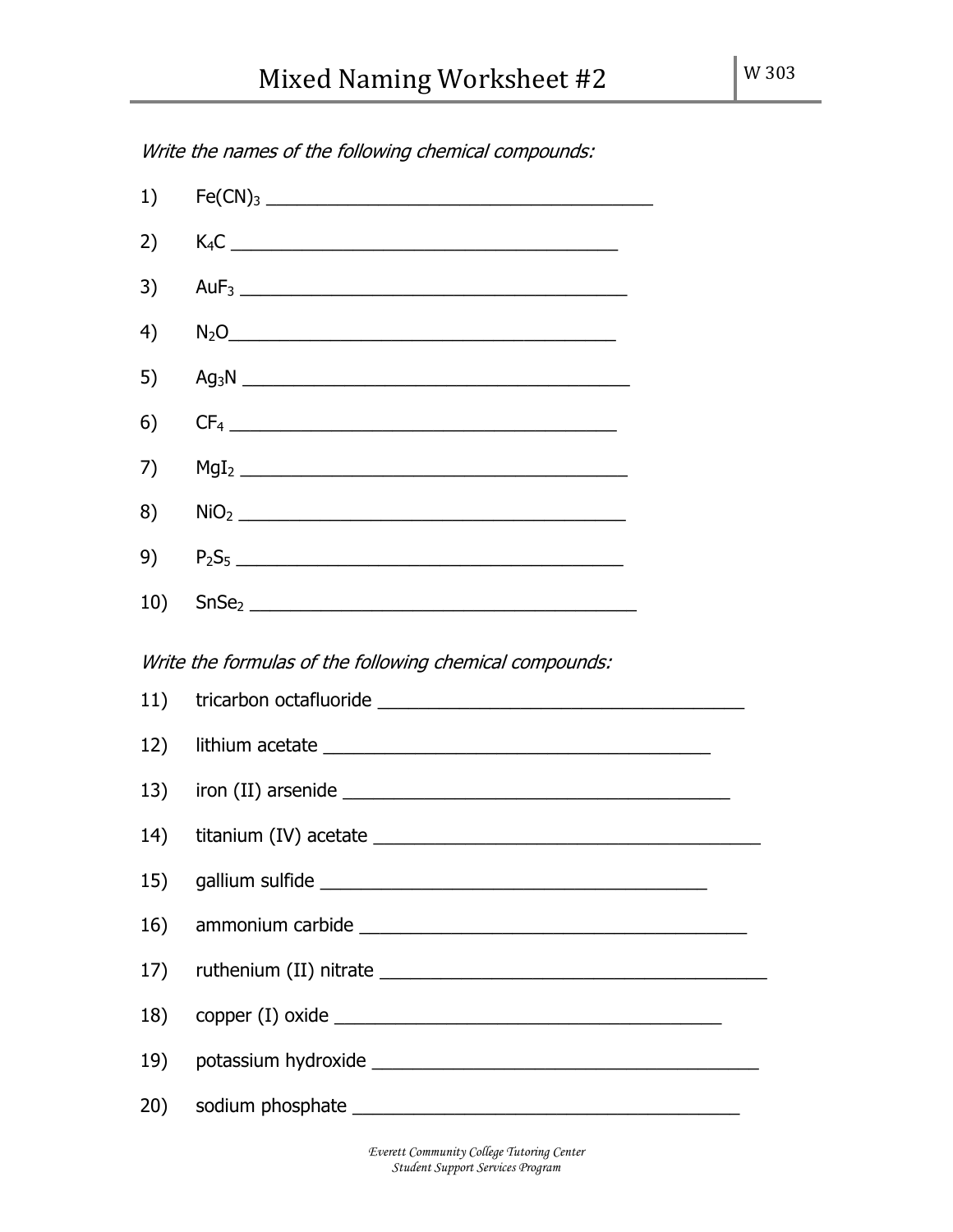| 1)                                                      |        |  |  |  |  |
|---------------------------------------------------------|--------|--|--|--|--|
| 2)                                                      | $K_4C$ |  |  |  |  |
| 3)                                                      |        |  |  |  |  |
| 4)                                                      | $N_2O$ |  |  |  |  |
| 5)                                                      |        |  |  |  |  |
| 6)                                                      |        |  |  |  |  |
| 7)                                                      |        |  |  |  |  |
| 8)                                                      |        |  |  |  |  |
| 9)                                                      |        |  |  |  |  |
| 10)                                                     |        |  |  |  |  |
| Write the formulas of the following chemical compounds: |        |  |  |  |  |
| 11)                                                     |        |  |  |  |  |
| 12)                                                     |        |  |  |  |  |
| 13)                                                     |        |  |  |  |  |
| 14)                                                     |        |  |  |  |  |
|                                                         |        |  |  |  |  |
| 16)                                                     |        |  |  |  |  |
| 17)                                                     |        |  |  |  |  |
| 18)                                                     |        |  |  |  |  |
| 19)                                                     |        |  |  |  |  |
| 20)                                                     |        |  |  |  |  |

Write the names of the following chemical compounds:

Everett Community College Tutoring Center Student Support Services Program